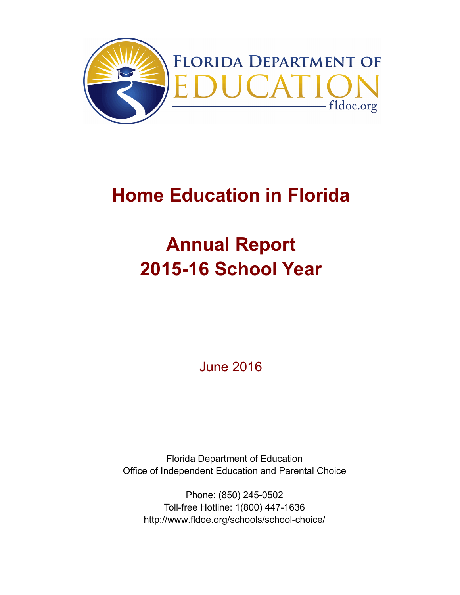

## **Home Education in Florida**

# **Annual Report 2015-16 School Year**

June 2016

Florida Department of Education Office of Independent Education and Parental Choice

Phone: (850) 245-0502 Toll-free Hotline: 1(800) 447-1636 http://www.fldoe.org/schools/school-choice/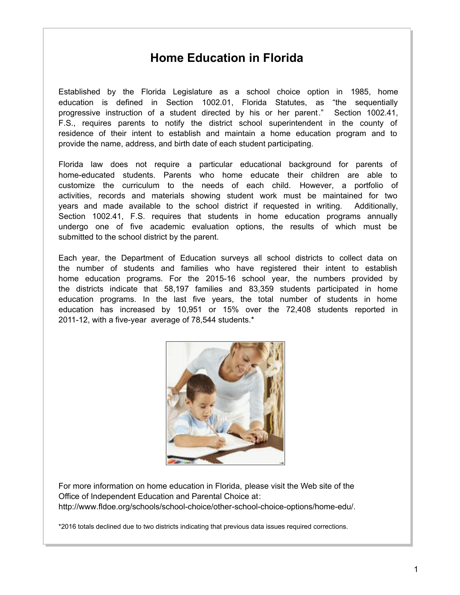## **Home Education in Florida**

Established by the Florida Legislature as a school choice option in 1985, home education is defined in Section 1002.01, Florida Statutes, as "the sequentially progressive instruction of a student directed by his or her parent." Section 1002.41, F.S., requires parents to notify the district school superintendent in the county of residence of their intent to establish and maintain a home education program and to provide the name, address, and birth date of each student participating.

Florida law does not require a particular educational background for parents of home-educated students. Parents who home educate their children are able to customize the curriculum to the needs of each child. However, a portfolio of activities, records and materials showing student work must be maintained for two years and made available to the school district if requested in writing. Additionally, Section 1002.41, F.S. requires that students in home education programs annually undergo one of five academic evaluation options, the results of which must be submitted to the school district by the parent.

Each year, the Department of Education surveys all school districts to collect data on the number of students and families who have registered their intent to establish home education programs. For the 2015-16 school year, the numbers provided by the districts indicate that 58,197 families and 83,359 students participated in home education programs. In the last five years, the total number of students in home education has increased by 10,951 or 15% over the 72,408 students reported in 2011-12, with a five-year average of 78,544 students.\*



For more information on home education in Florida, please visit the Web site of the Office of Independent Education and Parental Choice at: http://www.fldoe.org/schools/school-choice/other-school-choice-options/home-edu/.

\*2016 totals declined due to two districts indicating that previous data issues required corrections.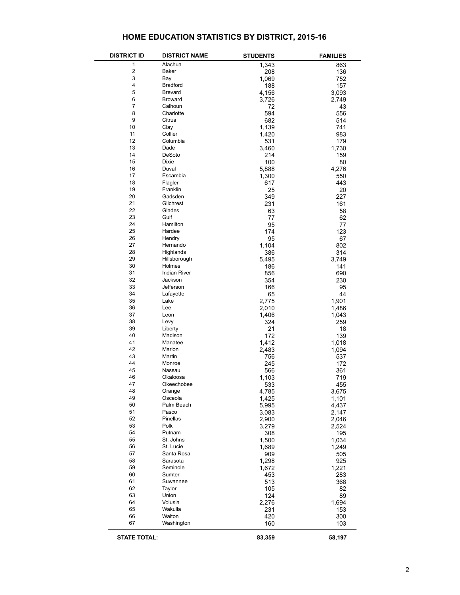#### **HOME EDUCATION STATISTICS BY DISTRICT, 2015-16**

| <b>DISTRICT ID</b>  | <b>DISTRICT NAME</b> | <b>STUDENTS</b> | <b>FAMILIES</b> |
|---------------------|----------------------|-----------------|-----------------|
| 1                   | Alachua              | 1,343           | 863             |
| $\mathbf 2$         | Baker                | 208             | 136             |
| 3                   | Bay                  | 1,069           | 752             |
| 4                   | <b>Bradford</b>      | 188             | 157             |
| 5                   | Brevard              | 4,156           | 3,093           |
| 6                   | <b>Broward</b>       | 3,726           | 2,749           |
| $\overline{7}$      | Calhoun              | 72              | 43              |
| 8                   | Charlotte            | 594             | 556             |
| 9                   | Citrus               | 682             | 514             |
| 10                  | Clay                 | 1,139           | 741             |
| 11                  | Collier              | 1,420           | 983             |
| 12                  | Columbia             | 531             | 179             |
| 13                  | Dade                 | 3,460           | 1,730           |
| 14                  | DeSoto               | 214             | 159             |
| 15                  | <b>Dixie</b>         | 100             | 80              |
| 16                  | Duval                | 5,888           | 4,276           |
| 17                  | Escambia             | 1,300           | 550             |
| 18                  | Flagler              | 617             | 443             |
| 19                  | Franklin             | 25              | 20              |
| 20                  | Gadsden              | 349             | 227             |
| 21                  | Gilchrest            | 231             | 161             |
| 22                  | Glades               | 63              | 58              |
| 23                  | Gulf                 | 77              | 62              |
| 24                  | Hamilton             | 95              | 77              |
| 25                  | Hardee               | 174             | 123             |
| 26                  | Hendry               | 95              | 67              |
| 27                  | Hernando             | 1,104           | 802             |
| 28                  | Highlands            | 386             | 314             |
| 29                  | Hillsborough         | 5,495           | 3,749           |
| 30                  | Holmes               | 186             | 141             |
| 31                  | <b>Indian River</b>  | 856             | 690             |
| 32                  | Jackson              | 354             | 230             |
| 33                  | Jefferson            | 166             | 95              |
| 34                  | Lafayette            | 65              | 44              |
| 35                  | Lake                 | 2,775           | 1,901           |
| 36                  | Lee                  | 2,010           | 1,486           |
| 37                  | Leon                 | 1,406           | 1,043           |
| 38                  | Levy                 | 324             | 259             |
| 39                  | Liberty              | 21              | 18              |
| 40                  | Madison              | 172             | 139             |
| 41                  | Manatee              | 1,412           | 1,018           |
| 42                  | Marion               | 2,483           | 1,094           |
| 43                  | Martin               | 756             | 537             |
| 44                  | Monroe               | 245             | 172             |
| 45                  | Nassau               | 566             | 361             |
| 46                  | Okaloosa             | 1,103           | 719             |
| 47                  | Okeechobee           |                 | 455             |
| 48                  |                      | 533             |                 |
| 49                  | Orange<br>Osceola    | 4,785           | 3,675           |
| 50                  | Palm Beach           | 1,425<br>5,995  | 1,101<br>4,437  |
| 51                  | Pasco                | 3,083           | 2,147           |
| 52                  | Pinellas             | 2,900           | 2,046           |
| 53                  | Polk                 | 3,279           | 2,524           |
| 54                  | Putnam               | 308             | 195             |
| 55                  | St. Johns            | 1,500           |                 |
| 56                  | St. Lucie            | 1,689           | 1,034<br>1,249  |
| 57                  | Santa Rosa           | 909             | 505             |
| 58                  | Sarasota             | 1,298           | 925             |
| 59                  | Seminole             | 1,672           | 1,221           |
| 60                  | Sumter               | 453             | 283             |
| 61                  | Suwannee             | 513             | 368             |
| 62                  | Taylor               |                 |                 |
| 63                  | Union                | 105<br>124      | 82<br>89        |
| 64                  | Volusia              | 2,276           | 1,694           |
| 65                  | Wakulla              | 231             |                 |
| 66                  | Walton               |                 | 153             |
| 67                  | Washington           | 420<br>160      | 300<br>103      |
|                     |                      |                 |                 |
| <b>STATE TOTAL:</b> |                      | 83,359          | 58,197          |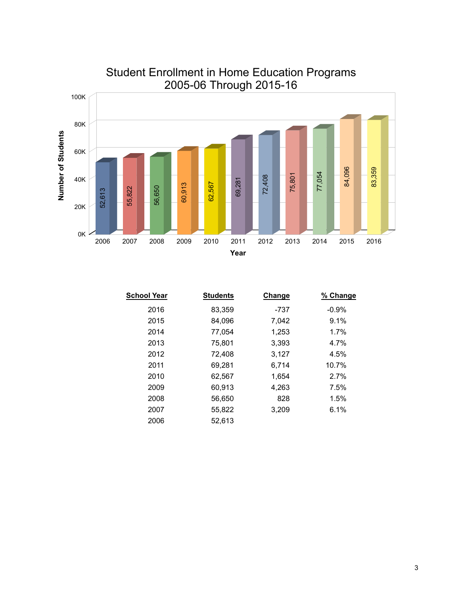

## Student Enrollment in Home Education Programs 2005-06 Through 2015-16

| School Year | <b>Students</b> | <b>Change</b> | % Change |
|-------------|-----------------|---------------|----------|
| 2016        | 83,359          | -737          | $-0.9%$  |
| 2015        | 84,096          | 7,042         | 9.1%     |
| 2014        | 77.054          | 1,253         | 1.7%     |
| 2013        | 75,801          | 3,393         | 4.7%     |
| 2012        | 72,408          | 3,127         | 4.5%     |
| 2011        | 69,281          | 6,714         | 10.7%    |
| 2010        | 62,567          | 1,654         | 2.7%     |
| 2009        | 60,913          | 4,263         | 7.5%     |
| 2008        | 56,650          | 828           | 1.5%     |
| 2007        | 55,822          | 3,209         | 6.1%     |
| 2006        | 52.613          |               |          |